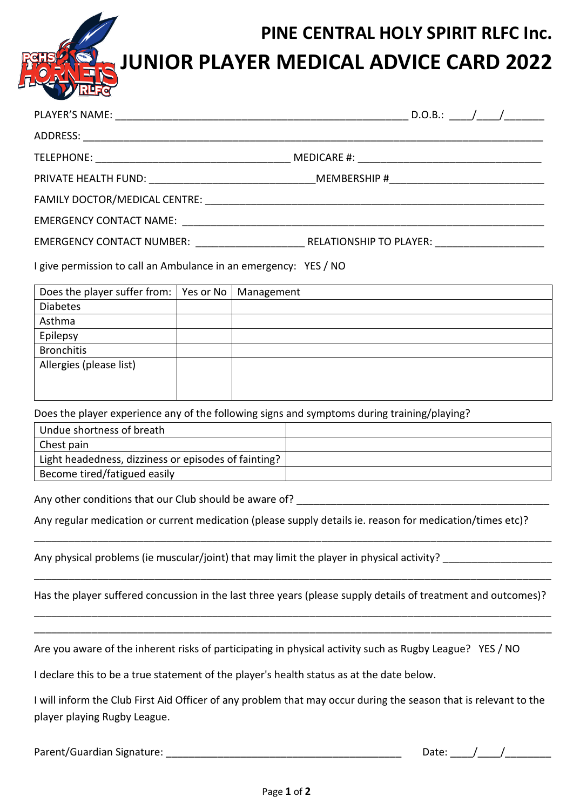## **PINE CENTRAL HOLY SPIRIT RLFC Inc. JUNIOR PLAYER MEDICAL ADVICE CARD 2022**

| EMERGENCY CONTACT NUMBER: RELATIONSHIP TO PLAYER: |  |
|---------------------------------------------------|--|

I give permission to call an Ambulance in an emergency: YES / NO

| Does the player suffer from:   Yes or No   Management |  |
|-------------------------------------------------------|--|
| <b>Diabetes</b>                                       |  |
| Asthma                                                |  |
| Epilepsy                                              |  |
| <b>Bronchitis</b>                                     |  |
| Allergies (please list)                               |  |
|                                                       |  |
|                                                       |  |

Does the player experience any of the following signs and symptoms during training/playing?

| Undue shortness of breath                            |  |
|------------------------------------------------------|--|
| Chest pain                                           |  |
| Light headedness, dizziness or episodes of fainting? |  |
| Become tired/fatigued easily                         |  |

Any other conditions that our Club should be aware of?

Any regular medication or current medication (please supply details ie. reason for medication/times etc)?

Any physical problems (ie muscular/joint) that may limit the player in physical activity?

Has the player suffered concussion in the last three years (please supply details of treatment and outcomes)? \_\_\_\_\_\_\_\_\_\_\_\_\_\_\_\_\_\_\_\_\_\_\_\_\_\_\_\_\_\_\_\_\_\_\_\_\_\_\_\_\_\_\_\_\_\_\_\_\_\_\_\_\_\_\_\_\_\_\_\_\_\_\_\_\_\_\_\_\_\_\_\_\_\_\_\_\_\_\_\_\_\_\_\_\_\_\_\_\_\_

\_\_\_\_\_\_\_\_\_\_\_\_\_\_\_\_\_\_\_\_\_\_\_\_\_\_\_\_\_\_\_\_\_\_\_\_\_\_\_\_\_\_\_\_\_\_\_\_\_\_\_\_\_\_\_\_\_\_\_\_\_\_\_\_\_\_\_\_\_\_\_\_\_\_\_\_\_\_\_\_\_\_\_\_\_\_\_\_\_\_

\_\_\_\_\_\_\_\_\_\_\_\_\_\_\_\_\_\_\_\_\_\_\_\_\_\_\_\_\_\_\_\_\_\_\_\_\_\_\_\_\_\_\_\_\_\_\_\_\_\_\_\_\_\_\_\_\_\_\_\_\_\_\_\_\_\_\_\_\_\_\_\_\_\_\_\_\_\_\_\_\_\_\_\_\_\_\_\_\_\_

\_\_\_\_\_\_\_\_\_\_\_\_\_\_\_\_\_\_\_\_\_\_\_\_\_\_\_\_\_\_\_\_\_\_\_\_\_\_\_\_\_\_\_\_\_\_\_\_\_\_\_\_\_\_\_\_\_\_\_\_\_\_\_\_\_\_\_\_\_\_\_\_\_\_\_\_\_\_\_\_\_\_\_\_\_\_\_\_\_\_

Are you aware of the inherent risks of participating in physical activity such as Rugby League? YES / NO

I declare this to be a true statement of the player's health status as at the date below.

I will inform the Club First Aid Officer of any problem that may occur during the season that is relevant to the player playing Rugby League.

| Parent/Guardian Signature: |  |
|----------------------------|--|
|----------------------------|--|

Date:  $\frac{\ }{\ }$  /  $\frac{\ }{\ }$